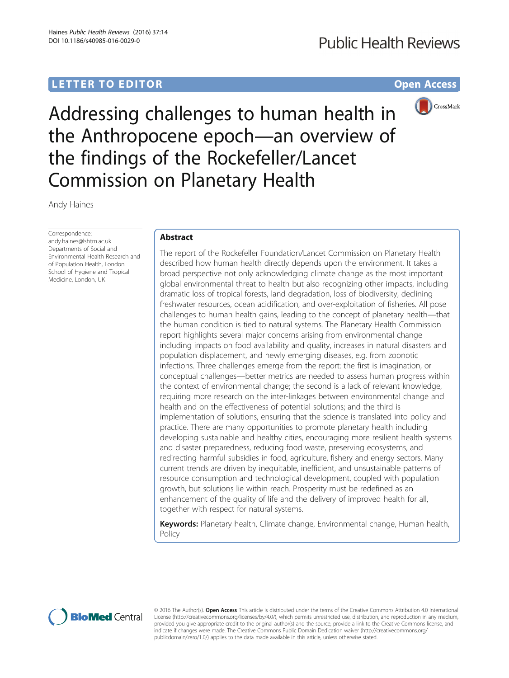# **LETTER TO EDITOR CONSIDERING ACCESS**



Addressing challenges to human health in the Anthropocene epoch—an overview of the findings of the Rockefeller/Lancet Commission on Planetary Health

Andy Haines

Correspondence [andy.haines@lshtm.ac.uk](mailto:andy.haines@lshtm.ac.uk) Departments of Social and Environmental Health Research and of Population Health, London School of Hygiene and Tropical Medicine, London, UK

# Abstract

The report of the Rockefeller Foundation/Lancet Commission on Planetary Health described how human health directly depends upon the environment. It takes a broad perspective not only acknowledging climate change as the most important global environmental threat to health but also recognizing other impacts, including dramatic loss of tropical forests, land degradation, loss of biodiversity, declining freshwater resources, ocean acidification, and over-exploitation of fisheries. All pose challenges to human health gains, leading to the concept of planetary health—that the human condition is tied to natural systems. The Planetary Health Commission report highlights several major concerns arising from environmental change including impacts on food availability and quality, increases in natural disasters and population displacement, and newly emerging diseases, e.g. from zoonotic infections. Three challenges emerge from the report: the first is imagination, or conceptual challenges—better metrics are needed to assess human progress within the context of environmental change; the second is a lack of relevant knowledge, requiring more research on the inter-linkages between environmental change and health and on the effectiveness of potential solutions; and the third is implementation of solutions, ensuring that the science is translated into policy and practice. There are many opportunities to promote planetary health including developing sustainable and healthy cities, encouraging more resilient health systems and disaster preparedness, reducing food waste, preserving ecosystems, and redirecting harmful subsidies in food, agriculture, fishery and energy sectors. Many current trends are driven by inequitable, inefficient, and unsustainable patterns of resource consumption and technological development, coupled with population growth, but solutions lie within reach. Prosperity must be redefined as an enhancement of the quality of life and the delivery of improved health for all, together with respect for natural systems.

Keywords: Planetary health, Climate change, Environmental change, Human health, Policy



© 2016 The Author(s). Open Access This article is distributed under the terms of the Creative Commons Attribution 4.0 International License ([http://creativecommons.org/licenses/by/4.0/\)](http://creativecommons.org/licenses/by/4.0/), which permits unrestricted use, distribution, and reproduction in any medium, provided you give appropriate credit to the original author(s) and the source, provide a link to the Creative Commons license, and indicate if changes were made. The Creative Commons Public Domain Dedication waiver ([http://creativecommons.org/](http://creativecommons.org/publicdomain/zero/1.0/) [publicdomain/zero/1.0/\)](http://creativecommons.org/publicdomain/zero/1.0/) applies to the data made available in this article, unless otherwise stated.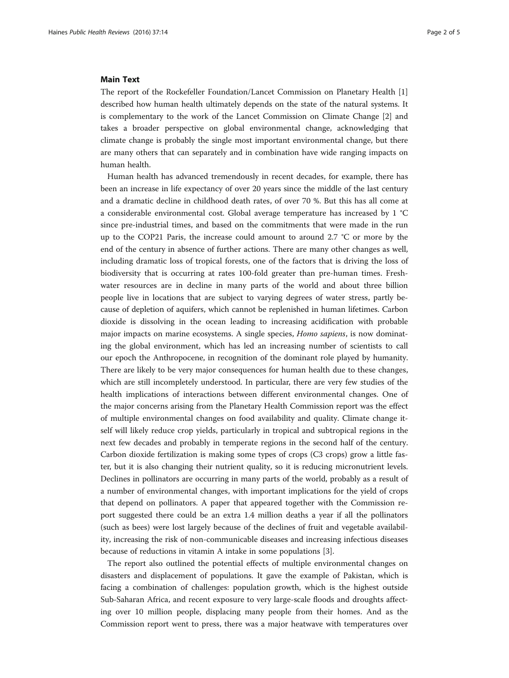# Main Text

The report of the Rockefeller Foundation/Lancet Commission on Planetary Health [[1](#page-4-0)] described how human health ultimately depends on the state of the natural systems. It is complementary to the work of the Lancet Commission on Climate Change [[2\]](#page-4-0) and takes a broader perspective on global environmental change, acknowledging that climate change is probably the single most important environmental change, but there are many others that can separately and in combination have wide ranging impacts on human health.

Human health has advanced tremendously in recent decades, for example, there has been an increase in life expectancy of over 20 years since the middle of the last century and a dramatic decline in childhood death rates, of over 70 %. But this has all come at a considerable environmental cost. Global average temperature has increased by 1 °C since pre-industrial times, and based on the commitments that were made in the run up to the COP21 Paris, the increase could amount to around 2.7 °C or more by the end of the century in absence of further actions. There are many other changes as well, including dramatic loss of tropical forests, one of the factors that is driving the loss of biodiversity that is occurring at rates 100-fold greater than pre-human times. Freshwater resources are in decline in many parts of the world and about three billion people live in locations that are subject to varying degrees of water stress, partly because of depletion of aquifers, which cannot be replenished in human lifetimes. Carbon dioxide is dissolving in the ocean leading to increasing acidification with probable major impacts on marine ecosystems. A single species, Homo sapiens, is now dominating the global environment, which has led an increasing number of scientists to call our epoch the Anthropocene, in recognition of the dominant role played by humanity. There are likely to be very major consequences for human health due to these changes, which are still incompletely understood. In particular, there are very few studies of the health implications of interactions between different environmental changes. One of the major concerns arising from the Planetary Health Commission report was the effect of multiple environmental changes on food availability and quality. Climate change itself will likely reduce crop yields, particularly in tropical and subtropical regions in the next few decades and probably in temperate regions in the second half of the century. Carbon dioxide fertilization is making some types of crops (C3 crops) grow a little faster, but it is also changing their nutrient quality, so it is reducing micronutrient levels. Declines in pollinators are occurring in many parts of the world, probably as a result of a number of environmental changes, with important implications for the yield of crops that depend on pollinators. A paper that appeared together with the Commission report suggested there could be an extra 1.4 million deaths a year if all the pollinators (such as bees) were lost largely because of the declines of fruit and vegetable availability, increasing the risk of non-communicable diseases and increasing infectious diseases because of reductions in vitamin A intake in some populations [\[3\]](#page-4-0).

The report also outlined the potential effects of multiple environmental changes on disasters and displacement of populations. It gave the example of Pakistan, which is facing a combination of challenges: population growth, which is the highest outside Sub-Saharan Africa, and recent exposure to very large-scale floods and droughts affecting over 10 million people, displacing many people from their homes. And as the Commission report went to press, there was a major heatwave with temperatures over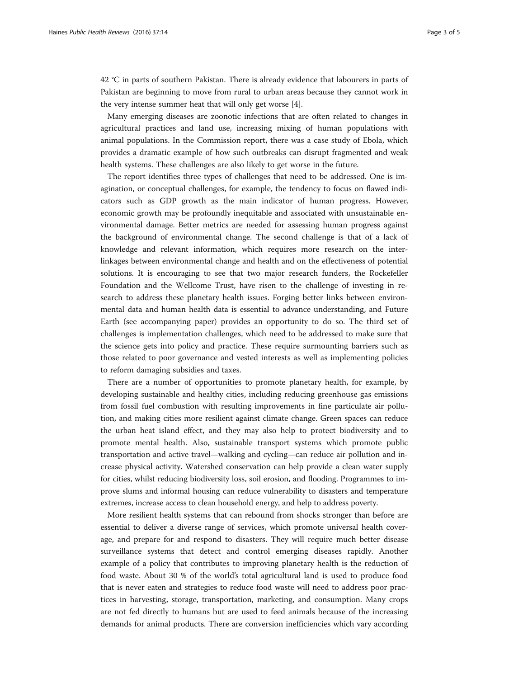42 °C in parts of southern Pakistan. There is already evidence that labourers in parts of Pakistan are beginning to move from rural to urban areas because they cannot work in the very intense summer heat that will only get worse [\[4](#page-4-0)].

Many emerging diseases are zoonotic infections that are often related to changes in agricultural practices and land use, increasing mixing of human populations with animal populations. In the Commission report, there was a case study of Ebola, which provides a dramatic example of how such outbreaks can disrupt fragmented and weak health systems. These challenges are also likely to get worse in the future.

The report identifies three types of challenges that need to be addressed. One is imagination, or conceptual challenges, for example, the tendency to focus on flawed indicators such as GDP growth as the main indicator of human progress. However, economic growth may be profoundly inequitable and associated with unsustainable environmental damage. Better metrics are needed for assessing human progress against the background of environmental change. The second challenge is that of a lack of knowledge and relevant information, which requires more research on the interlinkages between environmental change and health and on the effectiveness of potential solutions. It is encouraging to see that two major research funders, the Rockefeller Foundation and the Wellcome Trust, have risen to the challenge of investing in research to address these planetary health issues. Forging better links between environmental data and human health data is essential to advance understanding, and Future Earth (see accompanying paper) provides an opportunity to do so. The third set of challenges is implementation challenges, which need to be addressed to make sure that the science gets into policy and practice. These require surmounting barriers such as those related to poor governance and vested interests as well as implementing policies to reform damaging subsidies and taxes.

There are a number of opportunities to promote planetary health, for example, by developing sustainable and healthy cities, including reducing greenhouse gas emissions from fossil fuel combustion with resulting improvements in fine particulate air pollution, and making cities more resilient against climate change. Green spaces can reduce the urban heat island effect, and they may also help to protect biodiversity and to promote mental health. Also, sustainable transport systems which promote public transportation and active travel—walking and cycling—can reduce air pollution and increase physical activity. Watershed conservation can help provide a clean water supply for cities, whilst reducing biodiversity loss, soil erosion, and flooding. Programmes to improve slums and informal housing can reduce vulnerability to disasters and temperature extremes, increase access to clean household energy, and help to address poverty.

More resilient health systems that can rebound from shocks stronger than before are essential to deliver a diverse range of services, which promote universal health coverage, and prepare for and respond to disasters. They will require much better disease surveillance systems that detect and control emerging diseases rapidly. Another example of a policy that contributes to improving planetary health is the reduction of food waste. About 30 % of the world's total agricultural land is used to produce food that is never eaten and strategies to reduce food waste will need to address poor practices in harvesting, storage, transportation, marketing, and consumption. Many crops are not fed directly to humans but are used to feed animals because of the increasing demands for animal products. There are conversion inefficiencies which vary according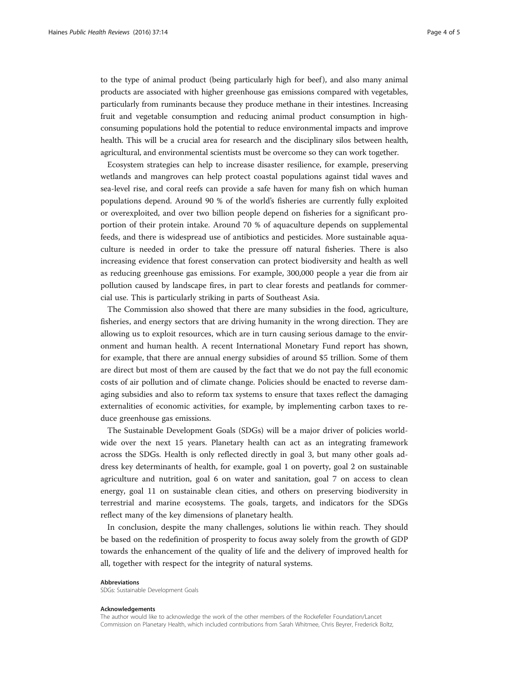to the type of animal product (being particularly high for beef), and also many animal products are associated with higher greenhouse gas emissions compared with vegetables, particularly from ruminants because they produce methane in their intestines. Increasing fruit and vegetable consumption and reducing animal product consumption in highconsuming populations hold the potential to reduce environmental impacts and improve health. This will be a crucial area for research and the disciplinary silos between health, agricultural, and environmental scientists must be overcome so they can work together.

Ecosystem strategies can help to increase disaster resilience, for example, preserving wetlands and mangroves can help protect coastal populations against tidal waves and sea-level rise, and coral reefs can provide a safe haven for many fish on which human populations depend. Around 90 % of the world's fisheries are currently fully exploited or overexploited, and over two billion people depend on fisheries for a significant proportion of their protein intake. Around 70 % of aquaculture depends on supplemental feeds, and there is widespread use of antibiotics and pesticides. More sustainable aquaculture is needed in order to take the pressure off natural fisheries. There is also increasing evidence that forest conservation can protect biodiversity and health as well as reducing greenhouse gas emissions. For example, 300,000 people a year die from air pollution caused by landscape fires, in part to clear forests and peatlands for commercial use. This is particularly striking in parts of Southeast Asia.

The Commission also showed that there are many subsidies in the food, agriculture, fisheries, and energy sectors that are driving humanity in the wrong direction. They are allowing us to exploit resources, which are in turn causing serious damage to the environment and human health. A recent International Monetary Fund report has shown, for example, that there are annual energy subsidies of around \$5 trillion. Some of them are direct but most of them are caused by the fact that we do not pay the full economic costs of air pollution and of climate change. Policies should be enacted to reverse damaging subsidies and also to reform tax systems to ensure that taxes reflect the damaging externalities of economic activities, for example, by implementing carbon taxes to reduce greenhouse gas emissions.

The Sustainable Development Goals (SDGs) will be a major driver of policies worldwide over the next 15 years. Planetary health can act as an integrating framework across the SDGs. Health is only reflected directly in goal 3, but many other goals address key determinants of health, for example, goal 1 on poverty, goal 2 on sustainable agriculture and nutrition, goal 6 on water and sanitation, goal 7 on access to clean energy, goal 11 on sustainable clean cities, and others on preserving biodiversity in terrestrial and marine ecosystems. The goals, targets, and indicators for the SDGs reflect many of the key dimensions of planetary health.

In conclusion, despite the many challenges, solutions lie within reach. They should be based on the redefinition of prosperity to focus away solely from the growth of GDP towards the enhancement of the quality of life and the delivery of improved health for all, together with respect for the integrity of natural systems.

#### Abbreviations

SDGs: Sustainable Development Goals

#### Acknowledgements

The author would like to acknowledge the work of the other members of the Rockefeller Foundation/Lancet Commission on Planetary Health, which included contributions from Sarah Whitmee, Chris Beyrer, Frederick Boltz,